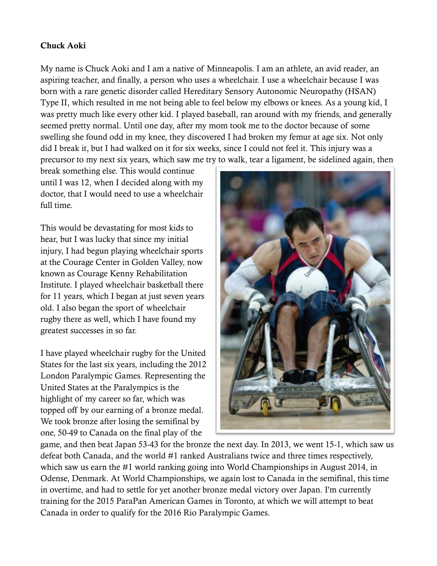## **Chuck Aoki**

My name is Chuck Aoki and I am a native of Minneapolis. I am an athlete, an avid reader, an aspiring teacher, and finally, a person who uses a wheelchair. I use a wheelchair because I was born with a rare genetic disorder called Hereditary Sensory Autonomic Neuropathy (HSAN) Type II, which resulted in me not being able to feel below my elbows or knees. As a young kid, I was pretty much like every other kid. I played baseball, ran around with my friends, and generally seemed pretty normal. Until one day, after my mom took me to the doctor because of some swelling she found odd in my knee, they discovered I had broken my femur at age six. Not only did I break it, but I had walked on it for six weeks, since I could not feel it. This injury was a precursor to my next six years, which saw me try to walk, tear a ligament, be sidelined again, then

break something else. This would continue until I was 12, when I decided along with my doctor, that I would need to use a wheelchair full time.

This would be devastating for most kids to hear, but I was lucky that since my initial injury, I had begun playing wheelchair sports at the Courage Center in Golden Valley, now known as Courage Kenny Rehabilitation Institute. I played wheelchair basketball there for 11 years, which I began at just seven years old. I also began the sport of wheelchair rugby there as well, which I have found my greatest successes in so far.

I have played wheelchair rugby for the United States for the last six years, including the 2012 London Paralympic Games. Representing the United States at the Paralympics is the highlight of my career so far, which was topped off by our earning of a bronze medal. We took bronze after losing the semifinal by one, 50-49 to Canada on the final play of the



game, and then beat Japan 53-43 for the bronze the next day. In 2013, we went 15-1, which saw us defeat both Canada, and the world #1 ranked Australians twice and three times respectively, which saw us earn the #1 world ranking going into World Championships in August 2014, in Odense, Denmark. At World Championships, we again lost to Canada in the semifinal, this time in overtime, and had to settle for yet another bronze medal victory over Japan. I'm currently training for the 2015 ParaPan American Games in Toronto, at which we will attempt to beat Canada in order to qualify for the 2016 Rio Paralympic Games.